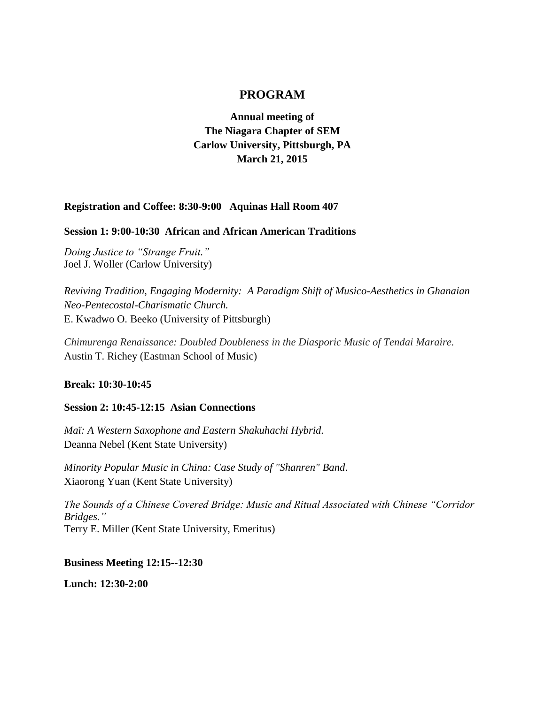# **PROGRAM**

**Annual meeting of The Niagara Chapter of SEM Carlow University, Pittsburgh, PA March 21, 2015**

#### **Registration and Coffee: 8:30-9:00 Aquinas Hall Room 407**

#### **Session 1: 9:00-10:30 African and African American Traditions**

*Doing Justice to "Strange Fruit."* Joel J. Woller (Carlow University)

*Reviving Tradition, Engaging Modernity: A Paradigm Shift of Musico-Aesthetics in Ghanaian Neo-Pentecostal-Charismatic Church.* E. Kwadwo O. Beeko (University of Pittsburgh)

*Chimurenga Renaissance: Doubled Doubleness in the Diasporic Music of Tendai Maraire.* Austin T. Richey (Eastman School of Music)

#### **Break: 10:30-10:45**

#### **Session 2: 10:45-12:15 Asian Connections**

*Maï: A Western Saxophone and Eastern Shakuhachi Hybrid.* Deanna Nebel (Kent State University)

*Minority Popular Music in China: Case Study of "Shanren" Band*. Xiaorong Yuan (Kent State University)

*The Sounds of a Chinese Covered Bridge: Music and Ritual Associated with Chinese "Corridor Bridges."*  Terry E. Miller (Kent State University, Emeritus)

**Business Meeting 12:15--12:30**

**Lunch: 12:30-2:00**